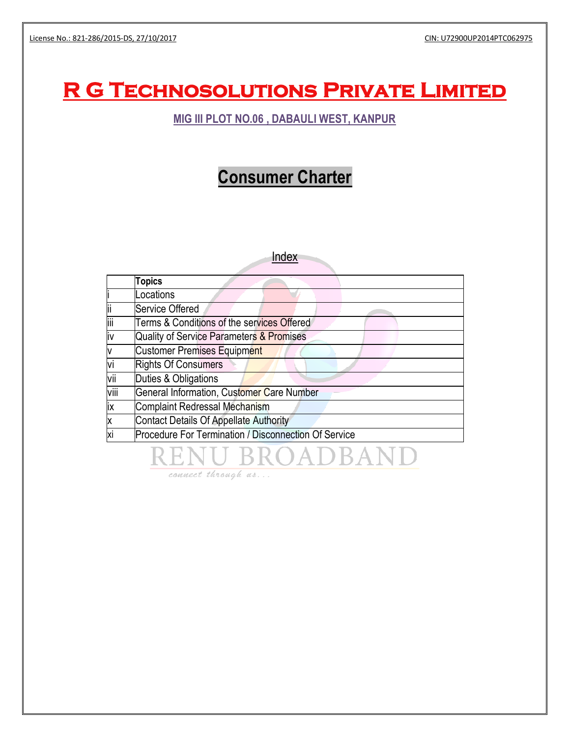# **R G Technosolutions Private Limited**

### **MIG III PLOT NO.06 , DABAULI WEST, KANPUR**

# **Consumer Charter**

|      | Index                                                |
|------|------------------------------------------------------|
|      | <b>Topics</b>                                        |
|      | Locations                                            |
| ii   | <b>Service Offered</b>                               |
| iii  | Terms & Conditions of the services Offered           |
| iv   | Quality of Service Parameters & Promises             |
| V    | Customer Premises Equipment                          |
| vi   | <b>Rights Of Consumers</b>                           |
| vii  | Duties & Obligations                                 |
| viii | General Information, Customer Care Number            |
| ix   | <b>Complaint Redressal Mechanism</b>                 |
| X    | <b>Contact Details Of Appellate Authority</b>        |
| xi   | Procedure For Termination / Disconnection Of Service |
|      | VU BROADBANI                                         |

connect through us...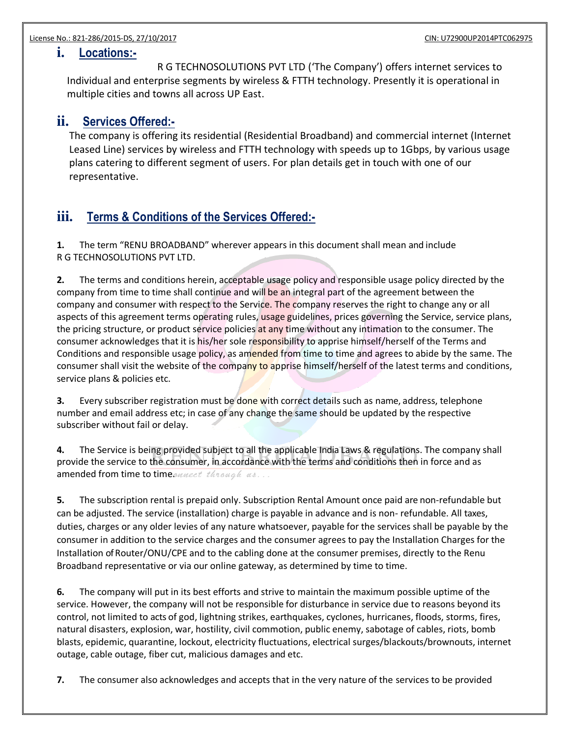### **i. Locations:-**

R G TECHNOSOLUTIONS PVT LTD ('The Company') offers internet services to Individual and enterprise segments by wireless & FTTH technology. Presently it is operational in multiple cities and towns all across UP East.

### **ii. Services Offered:-**

The company is offering its residential (Residential Broadband) and commercial internet (Internet Leased Line) services by wireless and FTTH technology with speeds up to 1Gbps, by various usage plans catering to different segment of users. For plan details get in touch with one of our representative.

## **iii. Terms & Conditions of the Services Offered:-**

**1.** The term "RENU BROADBAND" wherever appears in this document shall mean and include R G TECHNOSOLUTIONS PVT LTD.

**2.** The terms and conditions herein, acceptable usage policy and responsible usage policy directed by the company from time to time shall continue and will be an integral part of the agreement between the company and consumer with respect to the Service. The company reserves the right to change any or all aspects of this agreement terms operating rules, usage guidelines, prices governing the Service, service plans, the pricing structure, or product service policies at any time without any intimation to the consumer. The consumer acknowledges that it is his/her sole responsibility to apprise himself/herself of the Terms and Conditions and responsible usage policy, as amended from time to time and agrees to abide by the same. The consumer shall visit the website of the company to apprise himself/herself of the latest terms and conditions, service plans & policies etc.

**3.** Every subscriber registration must be done with correct details such as name, address, telephone number and email address etc; in case of any change the same should be updated by the respective subscriber without fail or delay.

**4.** The Service is being provided subject to all the applicable India Laws & regulations. The company shall provide the service to the consumer, in accordance with the terms and conditions then in force and as amended from time to time *anneet through us...* 

**5.** The subscription rental is prepaid only. Subscription Rental Amount once paid are non-refundable but can be adjusted. The service (installation) charge is payable in advance and is non- refundable. All taxes, duties, charges or any older levies of any nature whatsoever, payable for the services shall be payable by the consumer in addition to the service charges and the consumer agrees to pay the Installation Charges for the Installation of Router/ONU/CPE and to the cabling done at the consumer premises, directly to the Renu Broadband representative or via our online gateway, as determined by time to time.

**6.** The company will put in its best efforts and strive to maintain the maximum possible uptime of the service. However, the company will not be responsible for disturbance in service due to reasons beyond its control, not limited to acts of god, lightning strikes, earthquakes, cyclones, hurricanes, floods, storms, fires, natural disasters, explosion, war, hostility, civil commotion, public enemy, sabotage of cables, riots, bomb blasts, epidemic, quarantine, lockout, electricity fluctuations, electrical surges/blackouts/brownouts, internet outage, cable outage, fiber cut, malicious damages and etc.

**7.** The consumer also acknowledges and accepts that in the very nature of the services to be provided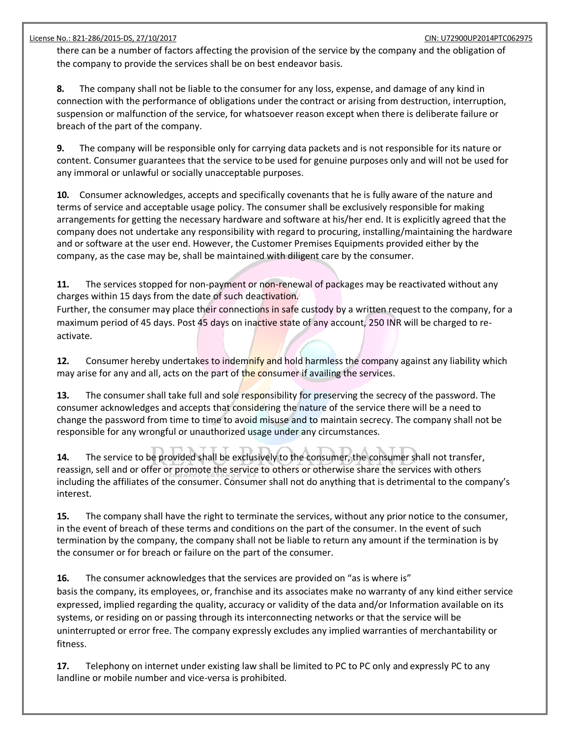there can be a number of factors affecting the provision of the service by the company and the obligation of the company to provide the services shall be on best endeavor basis.

**8.** The company shall not be liable to the consumer for any loss, expense, and damage of any kind in connection with the performance of obligations under the contract or arising from destruction, interruption, suspension or malfunction of the service, for whatsoever reason except when there is deliberate failure or breach of the part of the company.

**9.** The company will be responsible only for carrying data packets and is not responsible for its nature or content. Consumer guarantees that the service to be used for genuine purposes only and will not be used for any immoral or unlawful or socially unacceptable purposes.

**10.** Consumer acknowledges, accepts and specifically covenants that he is fully aware of the nature and terms of service and acceptable usage policy. The consumer shall be exclusively responsible for making arrangements for getting the necessary hardware and software at his/her end. It is explicitly agreed that the company does not undertake any responsibility with regard to procuring, installing/maintaining the hardware and or software at the user end. However, the Customer Premises Equipments provided either by the company, as the case may be, shall be maintained with diligent care by the consumer.

**11.** The services stopped for non-payment or non-renewal of packages may be reactivated without any charges within 15 days from the date of such deactivation.

Further, the consumer may place their connections in safe custody by a written request to the company, for a maximum period of 45 days. Post 45 days on inactive state of any account, 250 INR will be charged to reactivate.

**12.** Consumer hereby undertakes to indemnify and hold harmless the company against any liability which may arise for any and all, acts on the part of the consumer if availing the services.

**13.** The consumer shall take full and sole responsibility for preserving the secrecy of the password. The consumer acknowledges and accepts that considering the nature of the service there will be a need to change the password from time to time to avoid misuse and to maintain secrecy. The company shall not be responsible for any wrongful or unauthorized usage under any circumstances.

**14.** The service to be provided shall be exclusively to the consumer, the consumer shall not transfer, reassign, sell and or offer or promote the service to others or otherwise share the services with others including the affiliates of the consumer. Consumer shall not do anything that is detrimental to the company's interest.

**15.** The company shall have the right to terminate the services, without any prior notice to the consumer, in the event of breach of these terms and conditions on the part of the consumer. In the event of such termination by the company, the company shall not be liable to return any amount if the termination is by the consumer or for breach or failure on the part of the consumer.

**16.** The consumer acknowledges that the services are provided on "as is where is" basis the company, its employees, or, franchise and its associates make no warranty of any kind either service expressed, implied regarding the quality, accuracy or validity of the data and/or Information available on its systems, or residing on or passing through its interconnecting networks or that the service will be uninterrupted or error free. The company expressly excludes any implied warranties of merchantability or fitness.

**17.** Telephony on internet under existing law shall be limited to PC to PC only and expressly PC to any landline or mobile number and vice-versa is prohibited.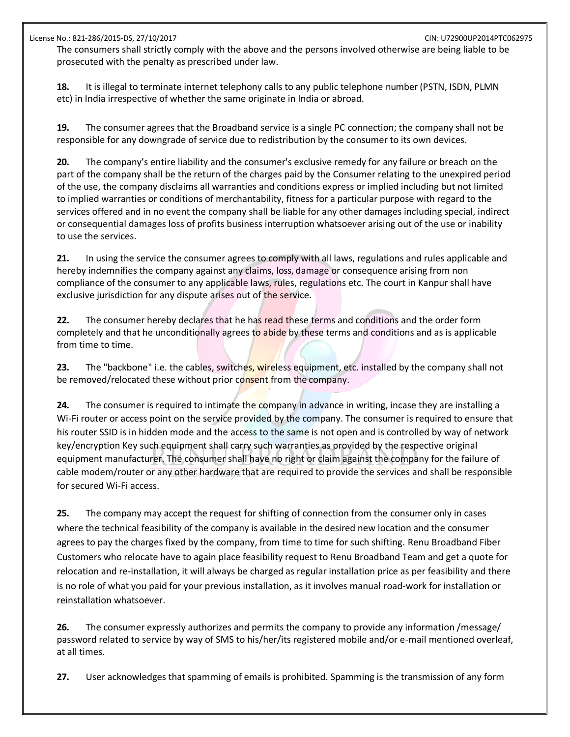The consumers shall strictly comply with the above and the persons involved otherwise are being liable to be prosecuted with the penalty as prescribed under law.

**18.** It is illegal to terminate internet telephony calls to any public telephone number (PSTN, ISDN, PLMN etc) in India irrespective of whether the same originate in India or abroad.

**19.** The consumer agrees that the Broadband service is a single PC connection; the company shall not be responsible for any downgrade of service due to redistribution by the consumer to its own devices.

**20.** The company's entire liability and the consumer's exclusive remedy for any failure or breach on the part of the company shall be the return of the charges paid by the Consumer relating to the unexpired period of the use, the company disclaims all warranties and conditions express or implied including but not limited to implied warranties or conditions of merchantability, fitness for a particular purpose with regard to the services offered and in no event the company shall be liable for any other damages including special, indirect or consequential damages loss of profits business interruption whatsoever arising out of the use or inability to use the services.

**21.** In using the service the consumer agrees to comply with all laws, regulations and rules applicable and hereby indemnifies the company against any claims, loss, damage or consequence arising from non compliance of the consumer to any applicable laws, rules, regulations etc. The court in Kanpur shall have exclusive jurisdiction for any dispute arises out of the service.

**22.** The consumer hereby declares that he has read these terms and conditions and the order form completely and that he unconditionally agrees to abide by these terms and conditions and as is applicable from time to time.

**23.** The "backbone" i.e. the cables, switches, wireless equipment, etc. installed by the company shall not be removed/relocated these without prior consent from the company.

**24.** The consumer is required to intimate the company in advance in writing, incase they are installing a Wi-Fi router or access point on the service provided by the company. The consumer is required to ensure that his router SSID is in hidden mode and the access to the same is not open and is controlled by way of network key/encryption Key such equipment shall carry such warranties as provided by the respective original equipment manufacturer. The consumer shall have no right or claim against the company for the failure of cable modem/router or any other hardware that are required to provide the services and shall be responsible for secured Wi-Fi access.

**25.** The company may accept the request for shifting of connection from the consumer only in cases where the technical feasibility of the company is available in the desired new location and the consumer agrees to pay the charges fixed by the company, from time to time for such shifting. Renu Broadband Fiber Customers who relocate have to again place feasibility request to Renu Broadband Team and get a quote for relocation and re-installation, it will always be charged as regular installation price as per feasibility and there is no role of what you paid for your previous installation, as it involves manual road-work for installation or reinstallation whatsoever.

**26.** The consumer expressly authorizes and permits the company to provide any information /message/ password related to service by way of SMS to his/her/its registered mobile and/or e-mail mentioned overleaf, at all times.

**27.** User acknowledges that spamming of emails is prohibited. Spamming is the transmission of any form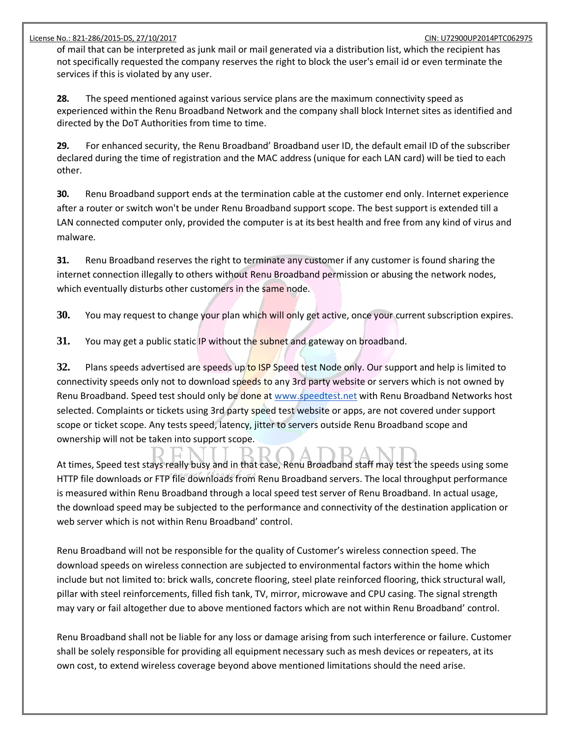of mail that can be interpreted as junk mail or mail generated via a distribution list, which the recipient has not specifically requested the company reserves the right to block the user's email id or even terminate the services if this is violated by any user.

**28.** The speed mentioned against various service plans are the maximum connectivity speed as experienced within the Renu Broadband Network and the company shall block Internet sites as identified and directed by the DoT Authorities from time to time.

**29.** For enhanced security, the Renu Broadband' Broadband user ID, the default email ID of the subscriber declared during the time of registration and the MAC address (unique for each LAN card) will be tied to each other.

**30.** Renu Broadband support ends at the termination cable at the customer end only. Internet experience after a router or switch won't be under Renu Broadband support scope. The best support is extended till a LAN connected computer only, provided the computer is at its best health and free from any kind of virus and malware.

**31.** Renu Broadband reserves the right to terminate any customer if any customer is found sharing the internet connection illegally to others without Renu Broadband permission or abusing the network nodes, which eventually disturbs other customers in the same node.

**30.** You may request to change your plan which will only get active, once your current subscription expires.

**31.** You may get a public static IP without the subnet and gateway on broadband.

**32.** Plans speeds advertised are speeds up to ISP Speed test Node only. Our support and help is limited to connectivity speeds only not to download speeds to any 3rd party website or servers which is not owned by Renu Broadband. Speed test should only be done at [www.speedtest.net](http://www.speedtest.net/) with Renu Broadband Networks host selected. Complaints or tickets using 3rd party speed test website or apps, are not covered under support scope or ticket scope. Any tests speed, latency, jitter to servers outside Renu Broadband scope and ownership will not be taken into support scope.

At times, Speed test stays really busy and in that case, Renu Broadband staff may test the speeds using some

HTTP file downloads or FTP file downloads from Renu Broadband servers. The local throughput performance is measured within Renu Broadband through a local speed test server of Renu Broadband. In actual usage, the download speed may be subjected to the performance and connectivity of the destination application or web server which is not within Renu Broadband' control.

Renu Broadband will not be responsible for the quality of Customer's wireless connection speed. The download speeds on wireless connection are subjected to environmental factors within the home which include but not limited to: brick walls, concrete flooring, steel plate reinforced flooring, thick structural wall, pillar with steel reinforcements, filled fish tank, TV, mirror, microwave and CPU casing. The signal strength may vary or fail altogether due to above mentioned factors which are not within Renu Broadband' control.

Renu Broadband shall not be liable for any loss or damage arising from such interference or failure. Customer shall be solely responsible for providing all equipment necessary such as mesh devices or repeaters, at its own cost, to extend wireless coverage beyond above mentioned limitations should the need arise.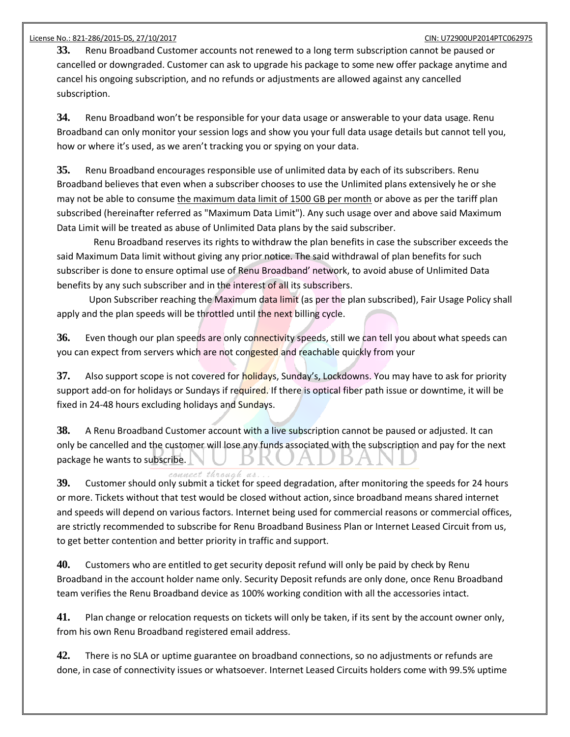**33.** Renu Broadband Customer accounts not renewed to a long term subscription cannot be paused or cancelled or downgraded. Customer can ask to upgrade his package to some new offer package anytime and cancel his ongoing subscription, and no refunds or adjustments are allowed against any cancelled subscription.

**34.** Renu Broadband won't be responsible for your data usage or answerable to your data usage. Renu Broadband can only monitor your session logs and show you your full data usage details but cannot tell you, how or where it's used, as we aren't tracking you or spying on your data.

**35.** Renu Broadband encourages responsible use of unlimited data by each of its subscribers. Renu Broadband believes that even when a subscriber chooses to use the Unlimited plans extensively he or she may not be able to consume the maximum data limit of 1500 GB per month or above as per the tariff plan subscribed (hereinafter referred as "Maximum Data Limit"). Any such usage over and above said Maximum Data Limit will be treated as abuse of Unlimited Data plans by the said subscriber.

 Renu Broadband reserves its rights to withdraw the plan benefits in case the subscriber exceeds the said Maximum Data limit without giving any prior notice. The said withdrawal of plan benefits for such subscriber is done to ensure optimal use of Renu Broadband' network, to avoid abuse of Unlimited Data benefits by any such subscriber and in the interest of all its subscribers.

 Upon Subscriber reaching the Maximum data limit (as per the plan subscribed), Fair Usage Policy shall apply and the plan speeds will be throttled until the next billing cycle.

36. Even though our plan speeds are only connectivity speeds, still we can tell you about what speeds can you can expect from servers which are not congested and reachable quickly from your

**37.** Also support scope is not covered for holidays, Sunday's, Lockdowns. You may have to ask for priority support add-on for holidays or Sundays if required. If there is optical fiber path issue or downtime, it will be fixed in 24-48 hours excluding holidays and Sundays.

**38.** A Renu Broadband Customer account with a live subscription cannot be paused or adjusted. It can only be cancelled and the customer will lose any funds associated with the subscription and pay for the next package he wants to subscribe.

connect through us. **39.** Customer should only submit a ticket for speed degradation, after monitoring the speeds for 24 hours or more. Tickets without that test would be closed without action, since broadband means shared internet and speeds will depend on various factors. Internet being used for commercial reasons or commercial offices, are strictly recommended to subscribe for Renu Broadband Business Plan or Internet Leased Circuit from us, to get better contention and better priority in traffic and support.

**40.** Customers who are entitled to get security deposit refund will only be paid by check by Renu Broadband in the account holder name only. Security Deposit refunds are only done, once Renu Broadband team verifies the Renu Broadband device as 100% working condition with all the accessories intact.

**41.** Plan change or relocation requests on tickets will only be taken, if its sent by the account owner only, from his own Renu Broadband registered email address.

**42.** There is no SLA or uptime guarantee on broadband connections, so no adjustments or refunds are done, in case of connectivity issues or whatsoever. Internet Leased Circuits holders come with 99.5% uptime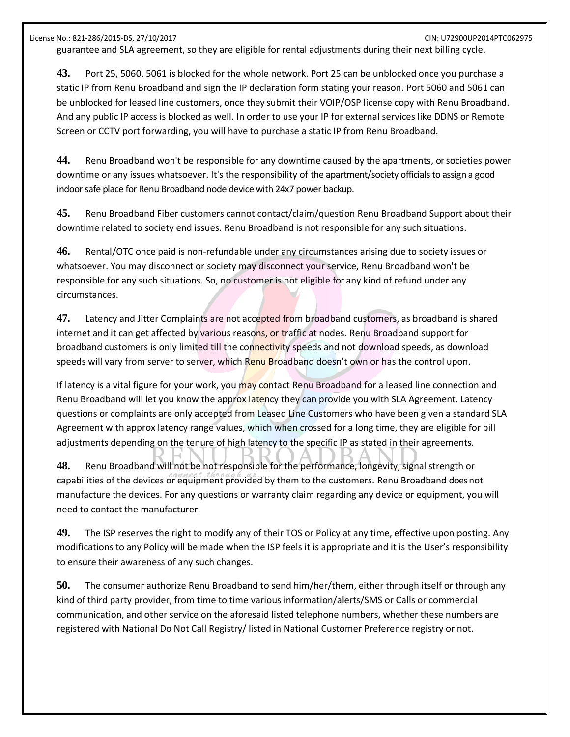guarantee and SLA agreement, so they are eligible for rental adjustments during their next billing cycle.

**43.** Port 25, 5060, 5061 is blocked for the whole network. Port 25 can be unblocked once you purchase a static IP from Renu Broadband and sign the IP declaration form stating your reason. Port 5060 and 5061 can be unblocked for leased line customers, once they submit their VOIP/OSP license copy with Renu Broadband. And any public IP access is blocked as well. In order to use your IP for external services like DDNS or Remote Screen or CCTV port forwarding, you will have to purchase a static IP from Renu Broadband.

**44.** Renu Broadband won't be responsible for any downtime caused by the apartments, or societies power downtime or any issues whatsoever. It's the responsibility of the apartment/society officials to assign a good indoor safe place for Renu Broadband node device with 24x7 power backup.

**45.** Renu Broadband Fiber customers cannot contact/claim/question Renu Broadband Support about their downtime related to society end issues. Renu Broadband is not responsible for any such situations.

**46.** Rental/OTC once paid is non-refundable under any circumstances arising due to society issues or whatsoever. You may disconnect or society may disconnect your service, Renu Broadband won't be responsible for any such situations. So, no customer is not eligible for any kind of refund under any circumstances.

**47.** Latency and Jitter Complaints are not accepted from broadband customers, as broadband is shared internet and it can get affected by various reasons, or traffic at nodes. Renu Broadband support for broadband customers is only limited till the connectivity speeds and not download speeds, as download speeds will vary from server to server, which Renu Broadband doesn't own or has the control upon.

If latency is a vital figure for your work, you may contact Renu Broadband for a leased line connection and Renu Broadband will let you know the approx latency they can provide you with SLA Agreement. Latency questions or complaints are only accepted from Leased Line Customers who have been given a standard SLA Agreement with approx latency range values, which when crossed for a long time, they are eligible for bill adjustments depending on the tenure of high latency to the specific IP as stated in their agreements.

**48.** Renu Broadband will not be not responsible for the performance, longevity, signal strength or capabilities of the devices or equipment provided by them to the customers. Renu Broadband does not manufacture the devices. For any questions or warranty claim regarding any device or equipment, you will need to contact the manufacturer.

**49.** The ISP reserves the right to modify any of their TOS or Policy at any time, effective upon posting. Any modifications to any Policy will be made when the ISP feels it is appropriate and it is the User's responsibility to ensure their awareness of any such changes.

**50.** The consumer authorize Renu Broadband to send him/her/them, either through itself or through any kind of third party provider, from time to time various information/alerts/SMS or Calls or commercial communication, and other service on the aforesaid listed telephone numbers, whether these numbers are registered with National Do Not Call Registry/ listed in National Customer Preference registry or not.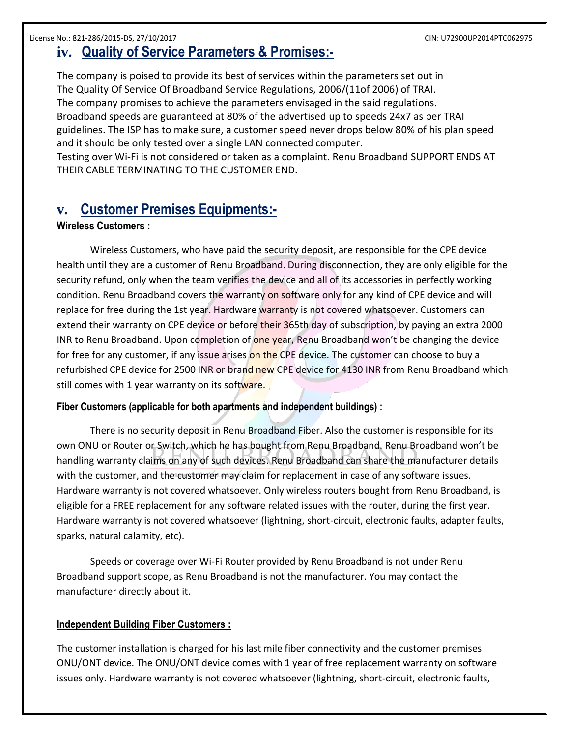# **iv. Quality of Service Parameters & Promises:-**

The company is poised to provide its best of services within the parameters set out in The Quality Of Service Of Broadband Service Regulations, 2006/(11of 2006) of TRAI. The company promises to achieve the parameters envisaged in the said regulations. Broadband speeds are guaranteed at 80% of the advertised up to speeds 24x7 as per TRAI guidelines. The ISP has to make sure, a customer speed never drops below 80% of his plan speed and it should be only tested over a single LAN connected computer.

Testing over Wi-Fi is not considered or taken as a complaint. Renu Broadband SUPPORT ENDS AT THEIR CABLE TERMINATING TO THE CUSTOMER END.

## **v. Customer Premises Equipments:-**

#### **Wireless Customers :**

Wireless Customers, who have paid the security deposit, are responsible for the CPE device health until they are a customer of Renu Broadband. During disconnection, they are only eligible for the security refund, only when the team verifies the device and all of its accessories in perfectly working condition. Renu Broadband covers the warranty on software only for any kind of CPE device and will replace for free during the 1st year. Hardware warranty is not covered whatsoever. Customers can extend their warranty on CPE device or before their 365th day of subscription, by paying an extra 2000 INR to Renu Broadband. Upon completion of one year, Renu Broadband won't be changing the device for free for any customer, if any issue arises on the CPE device. The customer can choose to buy a refurbished CPE device for 2500 INR or brand new CPE device for 4130 INR from Renu Broadband which still comes with 1 year warranty on its software.

#### **Fiber Customers (applicable for both apartments and independent buildings) :**

There is no security deposit in Renu Broadband Fiber. Also the customer is responsible for its own ONU or Router or Switch, which he has bought from Renu Broadband. Renu Broadband won't be handling warranty claims on any of such devices. Renu Broadband can share the manufacturer details with the customer, and the customer may claim for replacement in case of any software issues. Hardware warranty is not covered whatsoever. Only wireless routers bought from Renu Broadband, is eligible for a FREE replacement for any software related issues with the router, during the first year. Hardware warranty is not covered whatsoever (lightning, short-circuit, electronic faults, adapter faults, sparks, natural calamity, etc).

Speeds or coverage over Wi-Fi Router provided by Renu Broadband is not under Renu Broadband support scope, as Renu Broadband is not the manufacturer. You may contact the manufacturer directly about it.

#### **Independent Building Fiber Customers :**

The customer installation is charged for his last mile fiber connectivity and the customer premises ONU/ONT device. The ONU/ONT device comes with 1 year of free replacement warranty on software issues only. Hardware warranty is not covered whatsoever (lightning, short-circuit, electronic faults,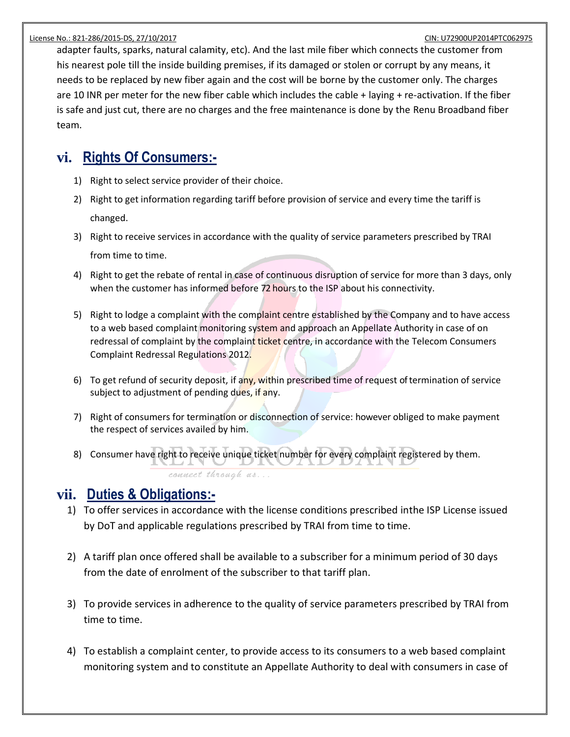adapter faults, sparks, natural calamity, etc). And the last mile fiber which connects the customer from his nearest pole till the inside building premises, if its damaged or stolen or corrupt by any means, it needs to be replaced by new fiber again and the cost will be borne by the customer only. The charges are 10 INR per meter for the new fiber cable which includes the cable + laying + re-activation. If the fiber is safe and just cut, there are no charges and the free maintenance is done by the Renu Broadband fiber team.

# **vi. Rights Of Consumers:-**

- 1) Right to select service provider of their choice.
- 2) Right to get information regarding tariff before provision of service and every time the tariff is changed.
- 3) Right to receive services in accordance with the quality of service parameters prescribed by TRAI from time to time.
- 4) Right to get the rebate of rental in case of continuous disruption of service for more than 3 days, only when the customer has informed before 72 hours to the ISP about his connectivity.
- 5) Right to lodge a complaint with the complaint centre established by the Company and to have access to a web based complaint monitoring system and approach an Appellate Authority in case of on redressal of complaint by the complaint ticket centre, in accordance with the Telecom Consumers Complaint Redressal Regulations 2012.
- 6) To get refund of security deposit, if any, within prescribed time of request of termination of service subject to adjustment of pending dues, if any.
- 7) Right of consumers for termination or disconnection of service: however obliged to make payment the respect of services availed by him.
- 8) Consumer have right to receive unique ticket number for every complaint registered by them. connect through us...

# **vii. Duties & Obligations:-**

- 1) To offer services in accordance with the license conditions prescribed inthe ISP License issued by DoT and applicable regulations prescribed by TRAI from time to time.
- 2) A tariff plan once offered shall be available to a subscriber for a minimum period of 30 days from the date of enrolment of the subscriber to that tariff plan.
- 3) To provide services in adherence to the quality of service parameters prescribed by TRAI from time to time.
- 4) To establish a complaint center, to provide access to its consumers to a web based complaint monitoring system and to constitute an Appellate Authority to deal with consumers in case of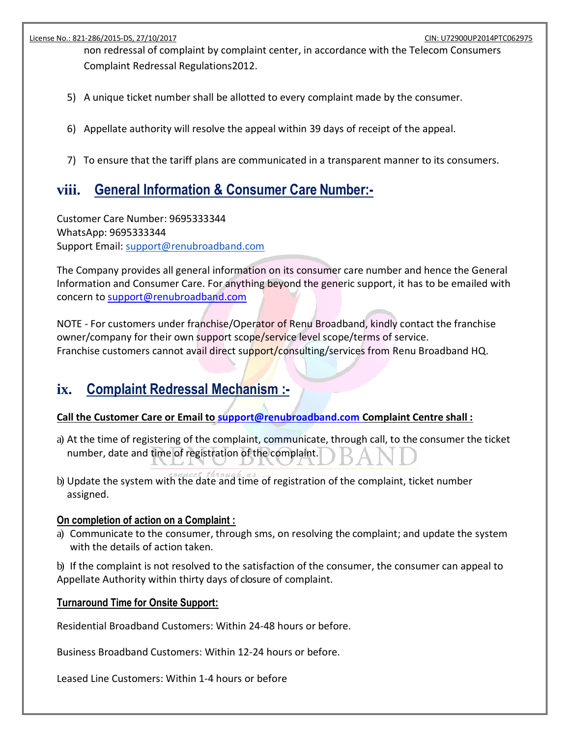non redressal of complaint by complaint center, in accordance with the Telecom Consumers Complaint Redressal Regulations2012.

- 5) A unique ticket number shall be allotted to every complaint made by the consumer.
- 6) Appellate authority will resolve the appeal within 39 days of receipt of the appeal.
- 7) To ensure that the tariff plans are communicated in a transparent manner to its consumers.

# **viii. General Information & Consumer Care Number:-**

Customer Care Number: 9695333344 WhatsApp: 9695333344 Support Email: support@renubroadband.com

The Company provides all general information on its consumer care number and hence the General Information and Consumer Care. For anything beyond the generic support, it has to be emailed with [concern to support@renubroadband.com](mailto:concern%20to%20support@renubroadband.com)

NOTE - For customers under franchise/Operator of Renu Broadband, kindly contact the franchise owner/company for their own support scope/service level scope/terms of service. Franchise customers cannot avail direct support/consulting/services from Renu Broadband HQ.

# **ix. Complaint Redressal Mechanism :-**

### **[Call the Customer Care or Email to](mailto:CalltheCustomerCareorEmailtosupport@jetspot.in) [support@renubroadband.com C](mailto:support@renubroadband.com)omplaint Centre shall :**

- a) At the time of registering of the complaint, communicate, through call, to the consumer the ticket number, date and time of registration of the complaint.
- b) Update the system with the date and time of registration of the complaint, ticket number assigned.

#### **On completion of action on a Complaint :**

a) Communicate to the consumer, through sms, on resolving the complaint; and update the system with the details of action taken.

b) If the complaint is not resolved to the satisfaction of the consumer, the consumer can appeal to Appellate Authority within thirty days of closure of complaint.

#### **Turnaround Time for Onsite Support:**

Residential Broadband Customers: Within 24-48 hours or before.

Business Broadband Customers: Within 12-24 hours or before.

Leased Line Customers: Within 1-4 hours or before